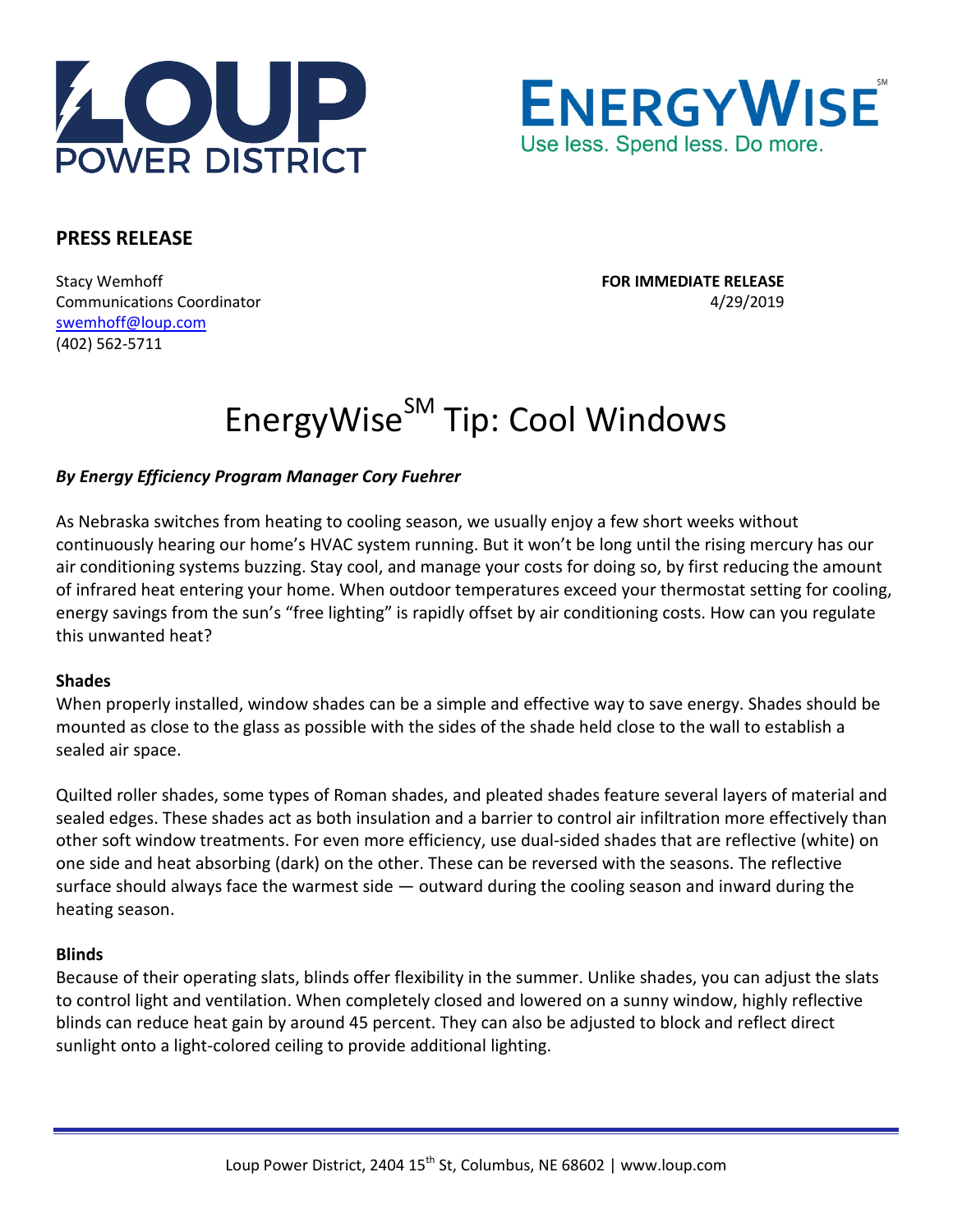



# **PRESS RELEASE**

Stacy Wemhoff **FOR IMMEDIATE RELEASE** Communications Coordinator 4/29/2019 [swemhoff@loup.com](mailto:swemhoff@loup.com)  (402) 562-5711

# EnergyWise<sup>SM</sup> Tip: Cool Windows

## *By Energy Efficiency Program Manager Cory Fuehrer*

As Nebraska switches from heating to cooling season, we usually enjoy a few short weeks without continuously hearing our home's HVAC system running. But it won't be long until the rising mercury has our air conditioning systems buzzing. Stay cool, and manage your costs for doing so, by first reducing the amount of infrared heat entering your home. When outdoor temperatures exceed your thermostat setting for cooling, energy savings from the sun's "free lighting" is rapidly offset by air conditioning costs. How can you regulate this unwanted heat?

#### **Shades**

When properly installed, window shades can be a simple and effective way to save energy. Shades should be mounted as close to the glass as possible with the sides of the shade held close to the wall to establish a sealed air space.

Quilted roller shades, some types of Roman shades, and pleated shades feature several layers of material and sealed edges. These shades act as both insulation and a barrier to control air infiltration more effectively than other soft window treatments. For even more efficiency, use dual-sided shades that are reflective (white) on one side and heat absorbing (dark) on the other. These can be reversed with the seasons. The reflective surface should always face the warmest side — outward during the cooling season and inward during the heating season.

#### **Blinds**

Because of their operating slats, blinds offer flexibility in the summer. Unlike shades, you can adjust the slats to control light and ventilation. When completely closed and lowered on a sunny window, highly reflective blinds can reduce heat gain by around 45 percent. They can also be adjusted to block and reflect direct sunlight onto a light-colored ceiling to provide additional lighting.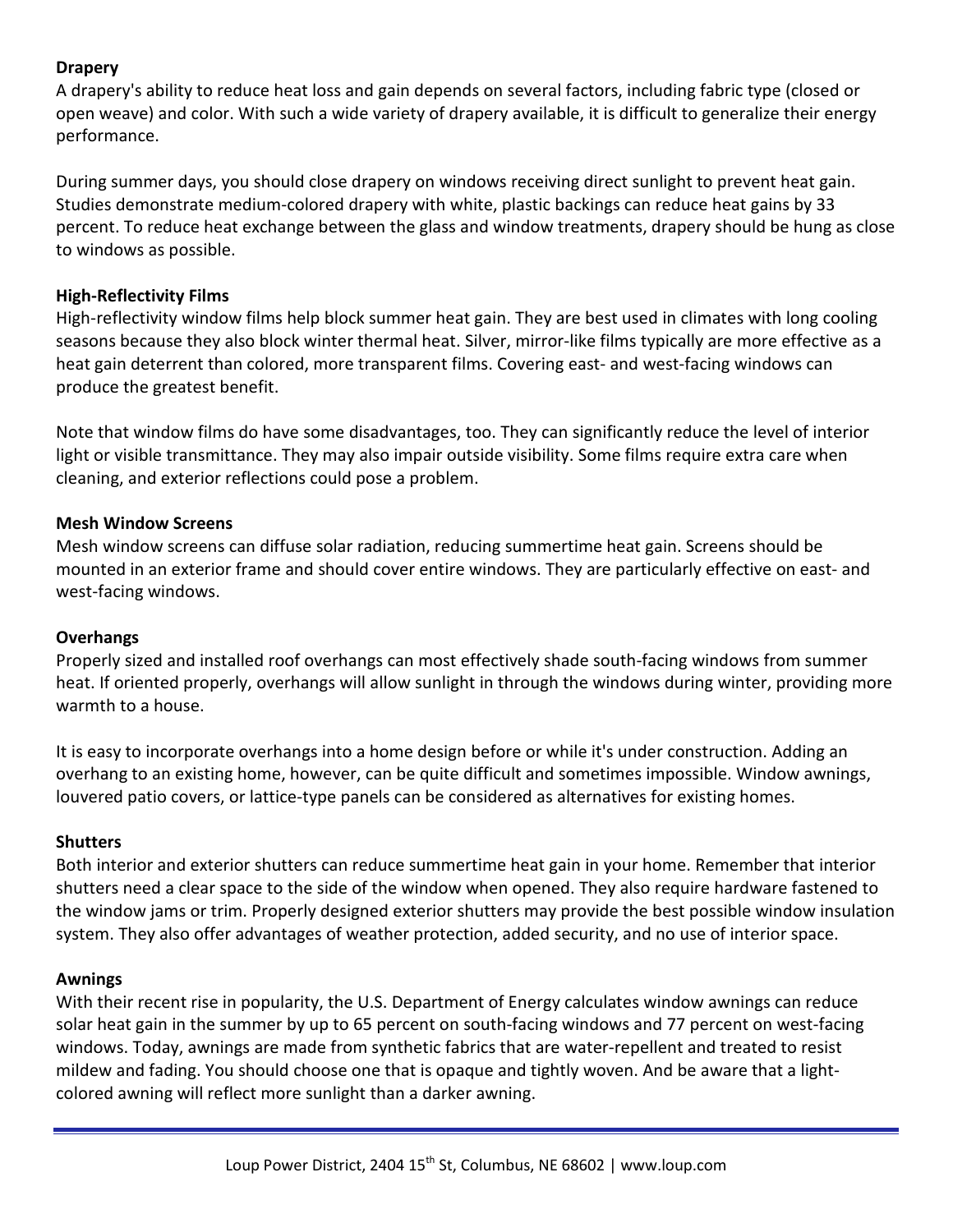# **Drapery**

A drapery's ability to reduce heat loss and gain depends on several factors, including fabric type (closed or open weave) and color. With such a wide variety of drapery available, it is difficult to generalize their energy performance.

During summer days, you should close drapery on windows receiving direct sunlight to prevent heat gain. Studies demonstrate medium-colored drapery with white, plastic backings can reduce heat gains by 33 percent. To reduce heat exchange between the glass and window treatments, drapery should be hung as close to windows as possible.

## **High-Reflectivity Films**

High-reflectivity window films help block summer heat gain. They are best used in climates with long cooling seasons because they also block winter thermal heat. Silver, mirror-like films typically are more effective as a heat gain deterrent than colored, more transparent films. Covering east- and west-facing windows can produce the greatest benefit.

Note that window films do have some disadvantages, too. They can significantly reduce the level of interior light or visible transmittance. They may also impair outside visibility. Some films require extra care when cleaning, and exterior reflections could pose a problem.

## **Mesh Window Screens**

Mesh window screens can diffuse solar radiation, reducing summertime heat gain. Screens should be mounted in an exterior frame and should cover entire windows. They are particularly effective on east- and west-facing windows.

## **Overhangs**

Properly sized and installed roof overhangs can most effectively shade south-facing windows from summer heat. If oriented properly, overhangs will allow sunlight in through the windows during winter, providing more warmth to a house.

It is easy to incorporate overhangs into a home design before or while it's under construction. Adding an overhang to an existing home, however, can be quite difficult and sometimes impossible. Window awnings, louvered patio covers, or lattice-type panels can be considered as alternatives for existing homes.

#### **Shutters**

Both interior and exterior shutters can reduce summertime heat gain in your home. Remember that interior shutters need a clear space to the side of the window when opened. They also require hardware fastened to the window jams or trim. Properly designed exterior shutters may provide the best possible window insulation system. They also offer advantages of weather protection, added security, and no use of interior space.

#### **Awnings**

With their recent rise in popularity, the U.S. Department of Energy calculates window awnings can reduce solar heat gain in the summer by up to 65 percent on south-facing windows and 77 percent on west-facing windows. Today, awnings are made from synthetic fabrics that are water-repellent and treated to resist mildew and fading. You should choose one that is opaque and tightly woven. And be aware that a lightcolored awning will reflect more sunlight than a darker awning.